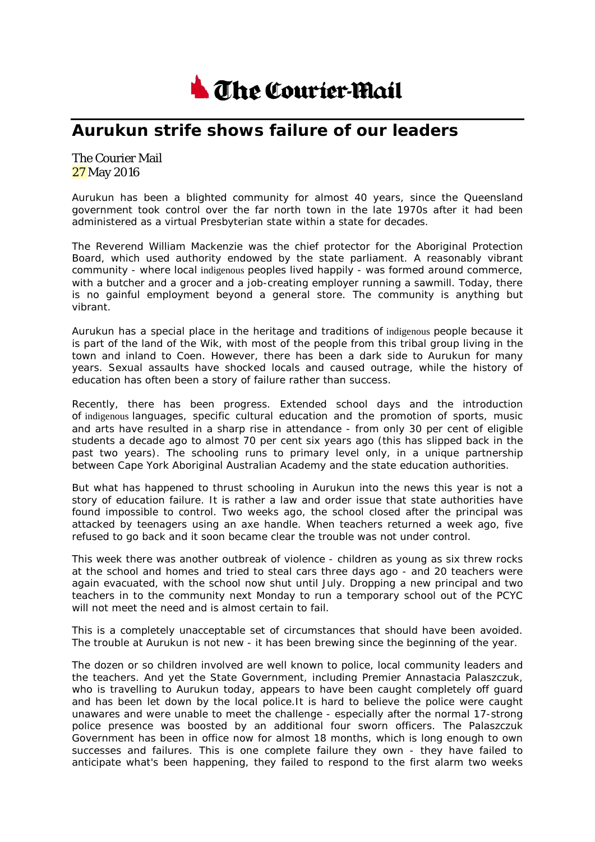

## **Aurukun strife shows failure of our leaders**

## The Courier Mail 27 May 2016

Aurukun has been a blighted community for almost 40 years, since the Queensland government took control over the far north town in the late 1970s after it had been administered as a virtual Presbyterian state within a state for decades.

The Reverend William Mackenzie was the chief protector for the Aboriginal Protection Board, which used authority endowed by the state parliament. A reasonably vibrant community - where local indigenous peoples lived happily - was formed around commerce, with a butcher and a grocer and a job-creating employer running a sawmill. Today, there is no gainful employment beyond a general store. The community is anything but vibrant.

Aurukun has a special place in the heritage and traditions of indigenous people because it is part of the land of the Wik, with most of the people from this tribal group living in the town and inland to Coen. However, there has been a dark side to Aurukun for many years. Sexual assaults have shocked locals and caused outrage, while the history of education has often been a story of failure rather than success.

Recently, there has been progress. Extended school days and the introduction of indigenous languages, specific cultural education and the promotion of sports, music and arts have resulted in a sharp rise in attendance - from only 30 per cent of eligible students a decade ago to almost 70 per cent six years ago (this has slipped back in the past two years). The schooling runs to primary level only, in a unique partnership between Cape York Aboriginal Australian Academy and the state education authorities.

But what has happened to thrust schooling in Aurukun into the news this year is not a story of education failure. It is rather a law and order issue that state authorities have found impossible to control. Two weeks ago, the school closed after the principal was attacked by teenagers using an axe handle. When teachers returned a week ago, five refused to go back and it soon became clear the trouble was not under control.

This week there was another outbreak of violence - children as young as six threw rocks at the school and homes and tried to steal cars three days ago - and 20 teachers were again evacuated, with the school now shut until July. Dropping a new principal and two teachers in to the community next Monday to run a temporary school out of the PCYC will not meet the need and is almost certain to fail.

This is a completely unacceptable set of circumstances that should have been avoided. The trouble at Aurukun is not new - it has been brewing since the beginning of the year.

The dozen or so children involved are well known to police, local community leaders and the teachers. And yet the State Government, including Premier Annastacia Palaszczuk, who is travelling to Aurukun today, appears to have been caught completely off guard and has been let down by the local police.It is hard to believe the police were caught unawares and were unable to meet the challenge - especially after the normal 17-strong police presence was boosted by an additional four sworn officers. The Palaszczuk Government has been in office now for almost 18 months, which is long enough to own successes and failures. This is one complete failure they own - they have failed to anticipate what's been happening, they failed to respond to the first alarm two weeks